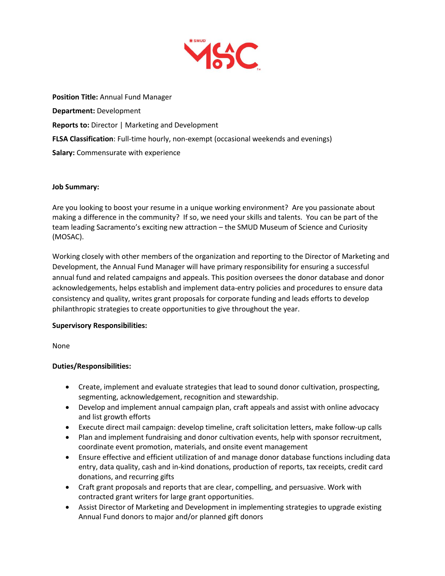

**Position Title:** Annual Fund Manager **Department:** Development **Reports to:** Director | Marketing and Development **FLSA Classification**: Full-time hourly, non-exempt (occasional weekends and evenings) **Salary:** Commensurate with experience

# **Job Summary:**

Are you looking to boost your resume in a unique working environment? Are you passionate about making a difference in the community? If so, we need your skills and talents. You can be part of the team leading Sacramento's exciting new attraction – the SMUD Museum of Science and Curiosity (MOSAC).

Working closely with other members of the organization and reporting to the Director of Marketing and Development, the Annual Fund Manager will have primary responsibility for ensuring a successful annual fund and related campaigns and appeals. This position oversees the donor database and donor acknowledgements, helps establish and implement data-entry policies and procedures to ensure data consistency and quality, writes grant proposals for corporate funding and leads efforts to develop philanthropic strategies to create opportunities to give throughout the year.

# **Supervisory Responsibilities:**

None

# **Duties/Responsibilities:**

- Create, implement and evaluate strategies that lead to sound donor cultivation, prospecting, segmenting, acknowledgement, recognition and stewardship.
- Develop and implement annual campaign plan, craft appeals and assist with online advocacy and list growth efforts
- Execute direct mail campaign: develop timeline, craft solicitation letters, make follow-up calls
- Plan and implement fundraising and donor cultivation events, help with sponsor recruitment, coordinate event promotion, materials, and onsite event management
- Ensure effective and efficient utilization of and manage donor database functions including data entry, data quality, cash and in-kind donations, production of reports, tax receipts, credit card donations, and recurring gifts
- Craft grant proposals and reports that are clear, compelling, and persuasive. Work with contracted grant writers for large grant opportunities.
- Assist Director of Marketing and Development in implementing strategies to upgrade existing Annual Fund donors to major and/or planned gift donors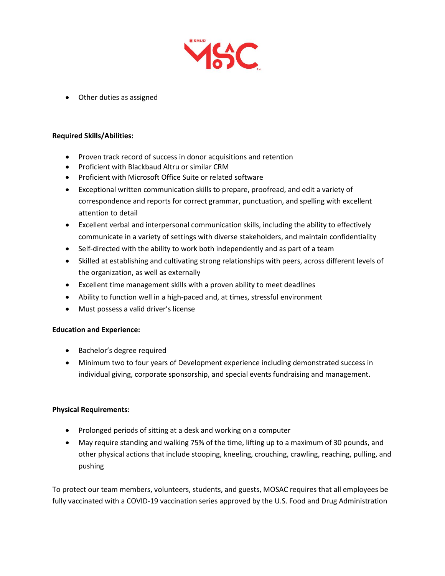

• Other duties as assigned

## **Required Skills/Abilities:**

- Proven track record of success in donor acquisitions and retention
- Proficient with Blackbaud Altru or similar CRM
- Proficient with Microsoft Office Suite or related software
- Exceptional written communication skills to prepare, proofread, and edit a variety of correspondence and reports for correct grammar, punctuation, and spelling with excellent attention to detail
- Excellent verbal and interpersonal communication skills, including the ability to effectively communicate in a variety of settings with diverse stakeholders, and maintain confidentiality
- Self-directed with the ability to work both independently and as part of a team
- Skilled at establishing and cultivating strong relationships with peers, across different levels of the organization, as well as externally
- Excellent time management skills with a proven ability to meet deadlines
- Ability to function well in a high-paced and, at times, stressful environment
- Must possess a valid driver's license

# **Education and Experience:**

- Bachelor's degree required
- Minimum two to four years of Development experience including demonstrated success in individual giving, corporate sponsorship, and special events fundraising and management.

# **Physical Requirements:**

- Prolonged periods of sitting at a desk and working on a computer
- May require standing and walking 75% of the time, lifting up to a maximum of 30 pounds, and other physical actions that include stooping, kneeling, crouching, crawling, reaching, pulling, and pushing

To protect our team members, volunteers, students, and guests, MOSAC requires that all employees be fully vaccinated with a COVID-19 vaccination series approved by the U.S. Food and Drug Administration